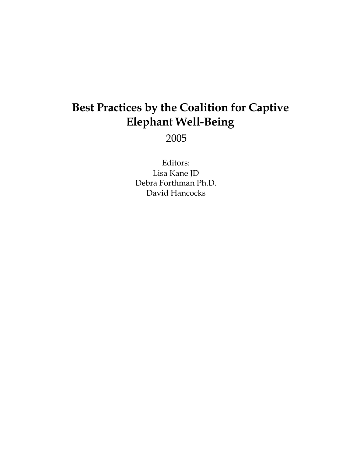# **Best Practices by the Coalition for Captive Elephant Well-Being**

2005

Editors: Lisa Kane JD Debra Forthman Ph.D. David Hancocks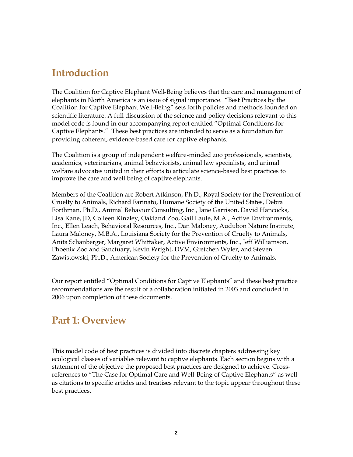# **Introduction**

The Coalition for Captive Elephant Well-Being believes that the care and management of elephants in North America is an issue of signal importance. "Best Practices by the Coalition for Captive Elephant Well-Being" sets forth policies and methods founded on scientific literature. A full discussion of the science and policy decisions relevant to this model code is found in our accompanying report entitled "Optimal Conditions for Captive Elephants." These best practices are intended to serve as a foundation for providing coherent, evidence-based care for captive elephants.

The Coalition is a group of independent welfare-minded zoo professionals, scientists, academics, veterinarians, animal behaviorists, animal law specialists, and animal welfare advocates united in their efforts to articulate science-based best practices to improve the care and well being of captive elephants.

Members of the Coalition are Robert Atkinson, Ph.D., Royal Society for the Prevention of Cruelty to Animals, Richard Farinato, Humane Society of the United States, Debra Forthman, Ph.D., Animal Behavior Consulting, Inc., Jane Garrison, David Hancocks, Lisa Kane, JD, Colleen Kinzley, Oakland Zoo, Gail Laule, M.A., Active Environments, Inc., Ellen Leach, Behavioral Resources, Inc., Dan Maloney, Audubon Nature Institute, Laura Maloney, M.B.A., Louisiana Society for the Prevention of Cruelty to Animals, Anita Schanberger, Margaret Whittaker, Active Environments, Inc., Jeff Williamson, Phoenix Zoo and Sanctuary, Kevin Wright, DVM, Gretchen Wyler, and Steven Zawistowski, Ph.D., American Society for the Prevention of Cruelty to Animals.

Our report entitled "Optimal Conditions for Captive Elephants" and these best practice recommendations are the result of a collaboration initiated in 2003 and concluded in 2006 upon completion of these documents.

# **Part 1: Overview**

This model code of best practices is divided into discrete chapters addressing key ecological classes of variables relevant to captive elephants. Each section begins with a statement of the objective the proposed best practices are designed to achieve. Crossreferences to "The Case for Optimal Care and Well-Being of Captive Elephants" as well as citations to specific articles and treatises relevant to the topic appear throughout these best practices.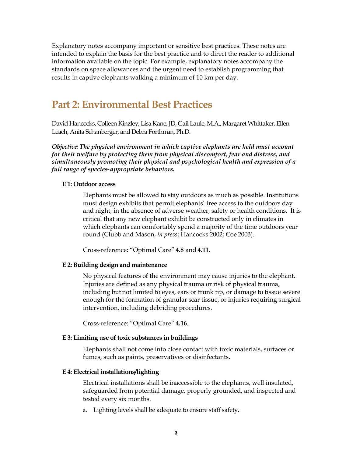Explanatory notes accompany important or sensitive best practices. These notes are intended to explain the basis for the best practice and to direct the reader to additional information available on the topic. For example, explanatory notes accompany the standards on space allowances and the urgent need to establish programming that results in captive elephants walking a minimum of 10 km per day.

# **Part 2: Environmental Best Practices**

David Hancocks, Colleen Kinzley, Lisa Kane, JD, Gail Laule, M.A., Margaret Whittaker, Ellen Leach, Anita Schanberger, and Debra Forthman, Ph.D.

*Objective: The physical environment in which captive elephants are held must account for their welfare by protecting them from physical discomfort, fear and distress, and simultaneously promoting their physical and psychological health and expression of a full range of species-appropriate behaviors.* 

### **E 1: Outdoor access**

Elephants must be allowed to stay outdoors as much as possible. Institutions must design exhibits that permit elephants' free access to the outdoors day and night, in the absence of adverse weather, safety or health conditions. It is critical that any new elephant exhibit be constructed only in climates in which elephants can comfortably spend a majority of the time outdoors year round (Clubb and Mason, *in press*; Hancocks 2002; Coe 2003).

Crossreference: "Optimal Care" **4.8** and **4.11.**

### **E 2: Building design and maintenance**

No physical features of the environment may cause injuries to the elephant. Injuries are defined as any physical trauma or risk of physical trauma, including but not limited to eyes, ears or trunk tip, or damage to tissue severe enough for the formation of granular scar tissue, or injuries requiring surgical intervention, including debriding procedures.

Crossreference: "Optimal Care" **4.16**.

### **E 3: Limiting use of toxic substances in buildings**

Elephants shall not come into close contact with toxic materials, surfaces or fumes, such as paints, preservatives or disinfectants.

### **E 4: Electrical installations/lighting**

Electrical installations shall be inaccessible to the elephants, well insulated, safeguarded from potential damage, properly grounded, and inspected and tested every six months.

a. Lighting levels shall be adequate to ensure staff safety.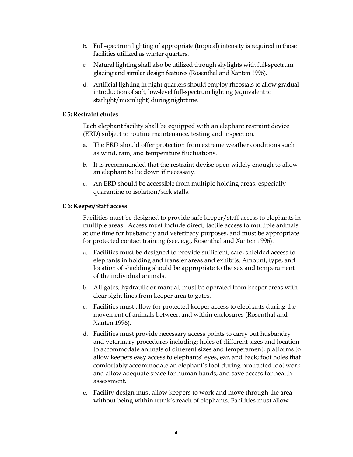- b. Full-spectrum lighting of appropriate (tropical) intensity is required in those facilities utilized as winter quarters.
- c. Natural lighting shall also be utilized through skylights with fullspectrum glazing and similar design features (Rosenthal and Xanten 1996).
- d. Artificial lighting in night quarters should employ rheostats to allow gradual introduction of soft, low-level full-spectrum lighting (equivalent to starlight/moonlight) during nighttime.

## **E 5: Restraint chutes**

Each elephant facility shall be equipped with an elephant restraint device (ERD) subject to routine maintenance, testing and inspection.

- a. The ERD should offer protection from extreme weather conditions such as wind, rain, and temperature fluctuations.
- b. It is recommended that the restraint devise open widely enough to allow an elephant to lie down if necessary.
- c. An ERD should be accessible from multiple holding areas, especially quarantine or isolation/sick stalls.

### **E 6: Keeper/Staff access**

Facilities must be designed to provide safe keeper/staff access to elephants in multiple areas. Access must include direct, tactile access to multiple animals at one time for husbandry and veterinary purposes, and must be appropriate for protected contact training (see, e.g., Rosenthal and Xanten 1996).

- a. Facilities must be designed to provide sufficient, safe, shielded access to elephants in holding and transfer areas and exhibits. Amount, type, and location of shielding should be appropriate to the sex and temperament of the individual animals.
- b. All gates, hydraulic or manual, must be operated from keeper areas with clear sight lines from keeper area to gates.
- c. Facilities must allow for protected keeper access to elephants during the movement of animals between and within enclosures (Rosenthal and Xanten 1996).
- d. Facilities must provide necessary access points to carry out husbandry and veterinary procedures including: holes of different sizes and location to accommodate animals of different sizes and temperament; platforms to allow keepers easy access to elephants' eyes, ear, and back; foot holes that comfortably accommodate an elephant's foot during protracted foot work and allow adequate space for human hands; and save access for health assessment.
- e. Facility design must allow keepers to work and move through the area without being within trunk's reach of elephants. Facilities must allow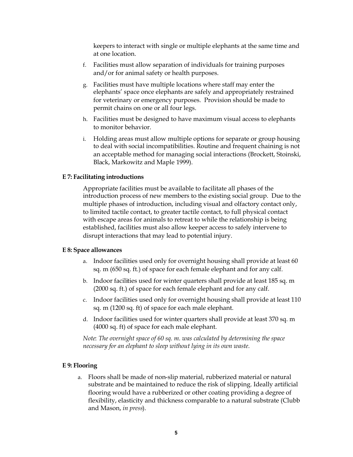keepers to interact with single or multiple elephants at the same time and at one location.

- f. Facilities must allow separation of individuals for training purposes and/or for animal safety or health purposes.
- g. Facilities must have multiple locations where staff may enter the elephants' space once elephants are safely and appropriately restrained for veterinary or emergency purposes. Provision should be made to permit chains on one or all four legs.
- h. Facilities must be designed to have maximum visual access to elephants to monitor behavior.
- i. Holding areas must allow multiple options for separate or group housing to deal with social incompatibilities. Routine and frequent chaining is not an acceptable method for managing social interactions (Brockett, Stoinski, Black, Markowitz and Maple 1999).

### **E 7: Facilitating introductions**

Appropriate facilities must be available to facilitate all phases of the introduction process of new members to the existing social group. Due to the multiple phases of introduction, including visual and olfactory contact only, to limited tactile contact, to greater tactile contact, to full physical contact with escape areas for animals to retreat to while the relationship is being established, facilities must also allow keeper access to safely intervene to disrupt interactions that may lead to potential injury.

### **E 8: Space allowances**

- a. Indoor facilities used only for overnight housing shall provide at least 60 sq. m (650 sq. ft.) of space for each female elephant and for any calf.
- b. Indoor facilities used for winter quarters shall provide at least 185 sq. m (2000 sq. ft.) of space for each female elephant and for any calf.
- c. Indoor facilities used only for overnight housing shall provide at least 110 sq. m (1200 sq. ft) of space for each male elephant.
- d. Indoor facilities used for winter quarters shall provide at least 370 sq. m (4000 sq. ft) of space for each male elephant.

*Note*: *The overnight space of 60 sq. m. was calculated by determining the space necessary for an elephant to sleep without lying in its own waste.*

### **E 9: Flooring**

a. Floors shall be made of non-slip material, rubberized material or natural substrate and be maintained to reduce the risk of slipping. Ideally artificial flooring would have a rubberized or other coating providing a degree of flexibility, elasticity and thickness comparable to a natural substrate (Clubb and Mason, *in press*).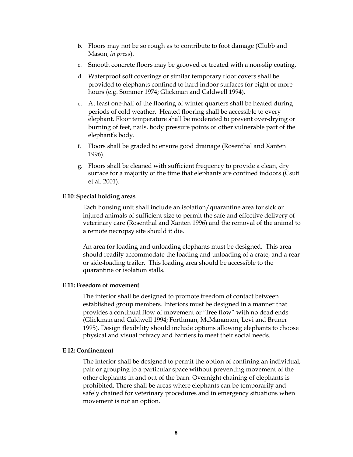- b. Floors may not be so rough as to contribute to foot damage (Clubb and Mason, *in press*).
- c. Smooth concrete floors may be grooved or treated with a nonslip coating.
- d. Waterproof soft coverings or similar temporary floor covers shall be provided to elephants confined to hard indoor surfaces for eight or more hours (e.g. Sommer 1974; Glickman and Caldwell 1994).
- e. At least one-half of the flooring of winter quarters shall be heated during periods of cold weather. Heated flooring shall be accessible to every elephant. Floor temperature shall be moderated to prevent over-drying or burning of feet, nails, body pressure points or other vulnerable part of the elephant's body.
- f. Floors shall be graded to ensure good drainage (Rosenthal and Xanten 1996).
- g. Floors shall be cleaned with sufficient frequency to provide a clean, dry surface for a majority of the time that elephants are confined indoors (Csuti et al. 2001).

### **E 10: Special holding areas**

Each housing unit shall include an isolation/quarantine area for sick or injured animals of sufficient size to permit the safe and effective delivery of veterinary care (Rosenthal and Xanten 1996) and the removal of the animal to a remote necropsy site should it die.

An area for loading and unloading elephants must be designed. This area should readily accommodate the loading and unloading of a crate, and a rear or side-loading trailer. This loading area should be accessible to the quarantine or isolation stalls.

### **E 11: Freedom of movement**

The interior shall be designed to promote freedom of contact between established group members. Interiors must be designed in a manner that provides a continual flow of movement or "free flow" with no dead ends (Glickman and Caldwell 1994; Forthman, McManamon, Levi and Bruner 1995). Design flexibility should include options allowing elephants to choose physical and visual privacy and barriers to meet their social needs.

### **E 12: Confinement**

The interior shall be designed to permit the option of confining an individual, pair or grouping to a particular space without preventing movement of the other elephants in and out of the barn. Overnight chaining of elephants is prohibited. There shall be areas where elephants can be temporarily and safely chained for veterinary procedures and in emergency situations when movement is not an option.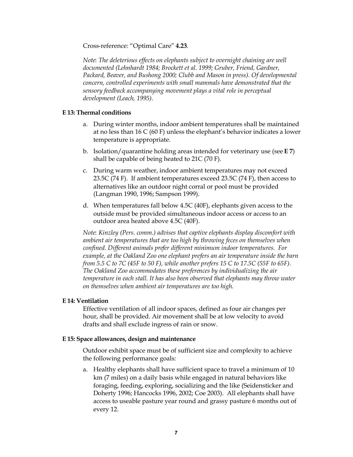Crossreference: "Optimal Care" **4.23**.

*Note*: *The deleterious effects on elephants subject to overnight chaining are well documented (Lehnhardt 1984; Brockett et al. 1999; Gruber, Friend, Gardner, Packard, Beaver, and Bushong 2000; Clubb and Mason in press). Of developmental concern, controlled experiments with small mammals have demonstrated that the sensory feedback accompanying movement plays a vital role in perceptual development (Leach, 1995).*

## **E 13: Thermal conditions**

- a. During winter months, indoor ambient temperatures shall be maintained at no less than 16 C (60 F) unless the elephant's behavior indicates a lower temperature is appropriate.
- b. Isolation/quarantine holding areas intended for veterinary use (see **E 7**) shall be capable of being heated to 21C (70 F).
- c. During warm weather, indoor ambient temperatures may not exceed 23.5C (74 F). If ambient temperatures exceed 23.5C (74 F), then access to alternatives like an outdoor night corral or pool must be provided (Langman 1990, 1996; Sampson 1999).
- d. When temperatures fall below 4.5C (40F), elephants given access to the outside must be provided simultaneous indoor access or access to an outdoor area heated above 4.5C (40F).

*Note*: *Kinzley (Pers. comm.) advises that captive elephants display discomfort with ambient air temperatures that are too high by throwing feces on themselves when confined. Different animals prefer different minimum indoor temperatures. For example, at the Oakland Zoo one elephant prefers an air temperature inside the barn from 5.5 C to 7C (45F to 50 F), while another prefers 15 C to 17.5C (55F to 65F). The Oakland Zoo accommodates these preferences by individualizing the air temperature in each stall. It has also been observed that elephants may throw water on themselves when ambient air temperatures are too high.*

### **E 14: Ventilation**

Effective ventilation of all indoor spaces, defined as four air changes per hour, shall be provided. Air movement shall be at low velocity to avoid drafts and shall exclude ingress of rain or snow.

### **E 15: Space allowances, design and maintenance**

Outdoor exhibit space must be of sufficient size and complexity to achieve the following performance goals:

a. Healthy elephants shall have sufficient space to travel a minimum of 10 km (7 miles) on a daily basis while engaged in natural behaviors like foraging, feeding, exploring, socializing and the like (Seidensticker and Doherty 1996; Hancocks 1996, 2002; Coe 2003). All elephants shall have access to useable pasture year round and grassy pasture 6 months out of every 12.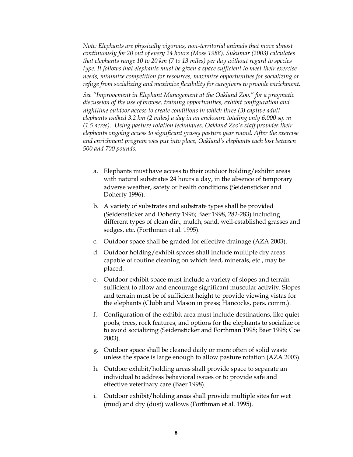*Note: Elephants are physically vigorous, non-territorial animals that move almost continuously for 20 out of every 24 hours (Moss 1988). Sukumar (2003) calculates that elephants range 10 to 20 km (7 to 13 miles) per day without regard to species type. It follows that elephants must be given a space sufficient to meet their exercise needs, minimize competition for resources, maximize opportunities for socializing or refuge from socializing and maximize flexibility for caregivers to provide enrichment.*

*See "Improvement in Elephant Management at the Oakland Zoo," for a pragmatic discussion of the use of browse, training opportunities, exhibit configuration and nighttime outdoor access to create conditions in which three (3) captive adult elephants walked 3.2 km (2 miles) a day in an enclosure totaling only 6,000 sq. m (1.5 acres). Using pasture rotation techniques, Oakland Zoo's staff provides their elephants ongoing access to significant grassy pasture year round. After the exercise and enrichment program was put into place, Oakland's elephants each lost between 500 and 700 pounds.*

- a. Elephants must have access to their outdoor holding/exhibit areas with natural substrates 24 hours a day, in the absence of temporary adverse weather, safety or health conditions (Seidensticker and Doherty 1996).
- b. A variety of substrates and substrate types shall be provided (Seidensticker and Doherty 1996; Baer 1998, 282-283) including different types of clean dirt, mulch, sand, well-established grasses and sedges, etc. (Forthman et al. 1995).
- c. Outdoor space shall be graded for effective drainage (AZA 2003).
- d. Outdoor holding/exhibit spaces shall include multiple dry areas capable of routine cleaning on which feed, minerals, etc., may be placed.
- e. Outdoor exhibit space must include a variety of slopes and terrain sufficient to allow and encourage significant muscular activity. Slopes and terrain must be of sufficient height to provide viewing vistas for the elephants (Clubb and Mason in press; Hancocks, pers. comm.).
- f. Configuration of the exhibit area must include destinations, like quiet pools, trees, rock features, and options for the elephants to socialize or to avoid socializing (Seidensticker and Forthman 1998; Baer 1998; Coe 2003).
- g. Outdoor space shall be cleaned daily or more often of solid waste unless the space is large enough to allow pasture rotation (AZA 2003).
- h. Outdoor exhibit/holding areas shall provide space to separate an individual to address behavioral issues or to provide safe and effective veterinary care (Baer 1998).
- i. Outdoor exhibit/holding areas shall provide multiple sites for wet (mud) and dry (dust) wallows (Forthman et al. 1995).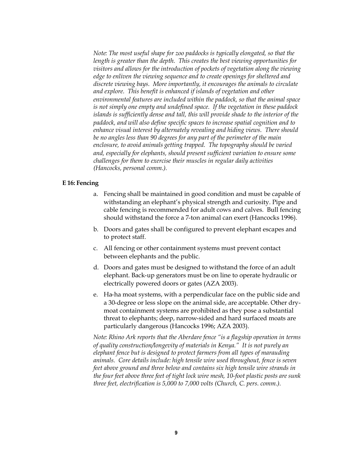*Note: The most useful shape for zoo paddocks is typically elongated, so that the length is greater than the depth. This creates the best viewing opportunities for visitors and allows for the introduction of pockets of vegetation along the viewing edge to enliven the viewing sequence and to create openings for sheltered and discrete viewing bays. More importantly, it encourages the animals to circulate and explore. This benefit is enhanced if islands of vegetation and other environmental features are included within the paddock, so that the animal space is not simply one empty and undefined space. If the vegetation in these paddock islands is sufficiently dense and tall, this will provide shade to the interior of the paddock, and will also define specific spaces to increase spatial cognition and to enhance visual interest by alternately revealing and hiding views. There should be no angles less than 90 degrees for any part of the perimeter of the main enclosure, to avoid animals getting trapped. The topography should be varied and, especially for elephants, should present sufficient variation to ensure some challenges for them to exercise their muscles in regular daily activities (Hancocks, personal comm.).*

### **E 16: Fencing**

- a. Fencing shall be maintained in good condition and must be capable of withstanding an elephant's physical strength and curiosity. Pipe and cable fencing is recommended for adult cows and calves. Bull fencing should withstand the force a 7-ton animal can exert (Hancocks 1996).
- b. Doors and gates shall be configured to prevent elephant escapes and to protect staff.
- c. All fencing or other containment systems must prevent contact between elephants and the public.
- d. Doors and gates must be designed to withstand the force of an adult elephant. Back-up generators must be on line to operate hydraulic or electrically powered doors or gates (AZA 2003).
- e. Ha-ha moat systems, with a perpendicular face on the public side and a 30-degree or less slope on the animal side, are acceptable. Other drymoat containment systems are prohibited as they pose a substantial threat to elephants; deep, narrow-sided and hard surfaced moats are particularly dangerous (Hancocks 1996; AZA 2003).

*Note: Rhino Ark reports that the Aberdare fence "is a flagship operation in terms of quality construction/longevity of materials in Kenya." It is not purely an elephant fence but is designed to protect farmers from all types of marauding animals. Core details include: high tensile wire used throughout, fence is seven feet above ground and three below and contains six high tensile wire strands in the four feet above three feet of tight lock wire mesh, 10-foot plastic posts are sunk three feet, electrification is 5,000 to 7,000 volts (Church, C. pers. comm.).*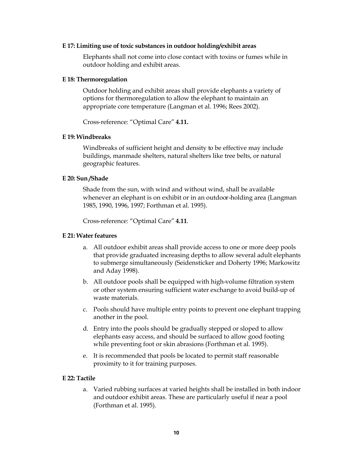### **E 17: Limiting use of toxic substances in outdoor holding/exhibit areas**

Elephants shall not come into close contact with toxins or fumes while in outdoor holding and exhibit areas.

### **E 18: Thermoregulation**

Outdoor holding and exhibit areas shall provide elephants a variety of options for thermoregulation to allow the elephant to maintain an appropriate core temperature (Langman et al. 1996; Rees 2002).

Crossreference: "Optimal Care" **4.11.**

### **E 19: Windbreaks**

Windbreaks of sufficient height and density to be effective may include buildings, manmade shelters, natural shelters like tree belts, or natural geographic features.

### **E 20: Sun /Shade**

Shade from the sun, with wind and without wind, shall be available whenever an elephant is on exhibit or in an outdoor-holding area (Langman 1985, 1990, 1996, 1997; Forthman et al. 1995).

Crossreference: "Optimal Care" **4.11**.

### **E 21: Water features**

- a. All outdoor exhibit areas shall provide access to one or more deep pools that provide graduated increasing depths to allow several adult elephants to submerge simultaneously (Seidensticker and Doherty 1996; Markowitz and Aday 1998).
- b. All outdoor pools shall be equipped with high-volume filtration system or other system ensuring sufficient water exchange to avoid build-up of waste materials.
- c. Pools should have multiple entry points to prevent one elephant trapping another in the pool.
- d. Entry into the pools should be gradually stepped or sloped to allow elephants easy access, and should be surfaced to allow good footing while preventing foot or skin abrasions (Forthman et al. 1995).
- e. It is recommended that pools be located to permit staff reasonable proximity to it for training purposes.

### **E 22: Tactile**

a. Varied rubbing surfaces at varied heights shall be installed in both indoor and outdoor exhibit areas. These are particularly useful if near a pool (Forthman et al. 1995).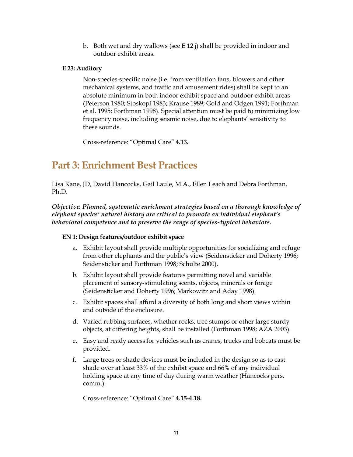b. Both wet and dry wallows (see **E 12** j) shall be provided in indoor and outdoor exhibit areas.

# **E 23: Auditory**

Non-species-specific noise (i.e. from ventilation fans, blowers and other mechanical systems, and traffic and amusement rides) shall be kept to an absolute minimum in both indoor exhibit space and outdoor exhibit areas (Peterson 1980; Stoskopf 1983; Krause 1989; Gold and Odgen 1991; Forthman et al. 1995; Forthman 1998). Special attention must be paid to minimizing low frequency noise, including seismic noise, due to elephants' sensitivity to these sounds.

Crossreference: "Optimal Care" **4.13.**

# **Part 3: Enrichment Best Practices**

Lisa Kane, JD, David Hancocks, Gail Laule, M.A., Ellen Leach and Debra Forthman, Ph.D.

*Objective*: *Planned, systematic enrichment strategies based on a thorough knowledge of elephant species' natural history are critical to promote an individual elephant's* behavioral competence and to preserve the range of species-typical behaviors.

# **EN 1: Design features/outdoor exhibit space**

- a. Exhibit layout shall provide multiple opportunities for socializing and refuge from other elephants and the public's view (Seidensticker and Doherty 1996; Seidensticker and Forthman 1998; Schulte 2000).
- b. Exhibit layout shall provide features permitting novel and variable placement of sensory-stimulating scents, objects, minerals or forage (Seidensticker and Doherty 1996; Markowitz and Aday 1998).
- c. Exhibit spaces shall afford a diversity of both long and short views within and outside of the enclosure.
- d. Varied rubbing surfaces, whether rocks, tree stumps or other large sturdy objects, at differing heights, shall be installed (Forthman 1998; AZA 2003).
- e. Easy and ready access for vehicles such as cranes, trucks and bobcats must be provided.
- f. Large trees or shade devices must be included in the design so as to cast shade over at least 33% of the exhibit space and 66% of any individual holding space at any time of day during warm weather (Hancocks pers. comm.).

Crossreference: "Optimal Care" **4.154.18.**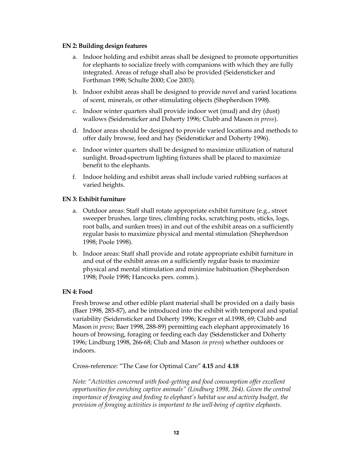### **EN 2: Building design features**

- a. Indoor holding and exhibit areas shall be designed to promote opportunities for elephants to socialize freely with companions with which they are fully integrated. Areas of refuge shall also be provided (Seidensticker and Forthman 1998; Schulte 2000; Coe 2003).
- b. Indoor exhibit areas shall be designed to provide novel and varied locations of scent, minerals, or other stimulating objects (Shepherdson 1998).
- c. Indoor winter quarters shall provide indoor wet (mud) and dry (dust) wallows (Seidensticker and Doherty 1996; Clubb and Mason *in press*).
- d. Indoor areas should be designed to provide varied locations and methods to offer daily browse, feed and hay (Seidensticker and Doherty 1996).
- e. Indoor winter quarters shall be designed to maximize utilization of natural sunlight. Broad-spectrum lighting fixtures shall be placed to maximize benefit to the elephants.
- f. Indoor holding and exhibit areas shall include varied rubbing surfaces at varied heights.

# **EN 3: Exhibit furniture**

- a. Outdoor areas: Staff shall rotate appropriate exhibit furniture (e.g., street sweeper brushes, large tires, climbing rocks, scratching posts, sticks, logs, root balls, and sunken trees) in and out of the exhibit areas on a sufficiently regular basis to maximize physical and mental stimulation (Shepherdson 1998; Poole 1998).
- b. Indoor areas: Staff shall provide and rotate appropriate exhibit furniture in and out of the exhibit areas on a sufficiently regular basis to maximize physical and mental stimulation and minimize habituation (Shepherdson 1998; Poole 1998; Hancocks pers. comm.).

# **EN 4: Food**

Fresh browse and other edible plant material shall be provided on a daily basis (Baer 1998, 28587), and be introduced into the exhibit with temporal and spatial variability (Seidensticker and Doherty 1996; Kreger et al.1998, 69; Clubb and Mason *in press*; Baer 1998, 288-89) permitting each elephant approximately 16 hours of browsing, foraging or feeding each day (Seidensticker and Doherty 1996; Lindburg 1998, 26668; Club and Mason *in press*) whether outdoors or indoors.

Crossreference: "The Case for Optimal Care" **4.15** and **4.18**

*Note: "Activities concerned with food-getting and food consumption offer excellent opportunities for enriching captive animals" (Lindburg 1998, 264). Given the central importance of foraging and feeding to elephant's habitat use and activity budget, the provision of foraging activities is important to the well-being of captive elephants.*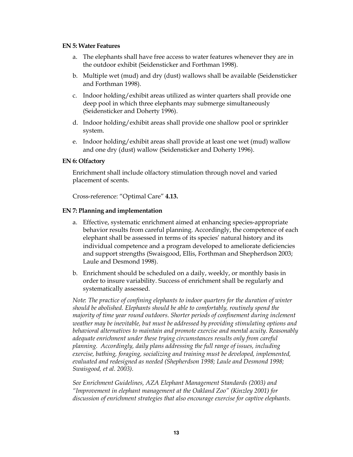### **EN 5: Water Features**

- a. The elephants shall have free access to water features whenever they are in the outdoor exhibit (Seidensticker and Forthman 1998).
- b. Multiple wet (mud) and dry (dust) wallows shall be available (Seidensticker and Forthman 1998).
- c. Indoor holding/exhibit areas utilized as winter quarters shall provide one deep pool in which three elephants may submerge simultaneously (Seidensticker and Doherty 1996).
- d. Indoor holding/exhibit areas shall provide one shallow pool or sprinkler system.
- e. Indoor holding/exhibit areas shall provide at least one wet (mud) wallow and one dry (dust) wallow (Seidensticker and Doherty 1996).

### **EN 6: Olfactory**

Enrichment shall include olfactory stimulation through novel and varied placement of scents.

Crossreference: "Optimal Care" **4.13.**

### **EN 7: Planning and implementation**

- a. Effective, systematic enrichment aimed at enhancing species-appropriate behavior results from careful planning. Accordingly, the competence of each elephant shall be assessed in terms of its species' natural history and its individual competence and a program developed to ameliorate deficiencies and support strengths (Swaisgood, Ellis, Forthman and Shepherdson 2003; Laule and Desmond 1998).
- b. Enrichment should be scheduled on a daily, weekly, or monthly basis in order to insure variability. Success of enrichment shall be regularly and systematically assessed.

*Note*: *The practice of confining elephants to indoor quarters for the duration of winter should be abolished. Elephants should be able to comfortably, routinely spend the majority of time year round outdoors. Shorter periods of confinement during inclement weather may be inevitable, but must be addressed by providing stimulating options and behavioral alternatives to maintain and promote exercise and mental acuity. Reasonably adequate enrichment under these trying circumstances results only from careful planning. Accordingly, daily plans addressing the full range of issues, including exercise, bathing, foraging, socializing and training must be developed, implemented, evaluated and redesigned as needed (Shepherdson 1998; Laule and Desmond 1998; Swaisgood, et al. 2003).*

*See Enrichment Guidelines, AZA Elephant Management Standards (2003) and "Improvement in elephant management at the Oakland Zoo" (Kinzley 2001) for discussion of enrichment strategies that also encourage exercise for captive elephants.*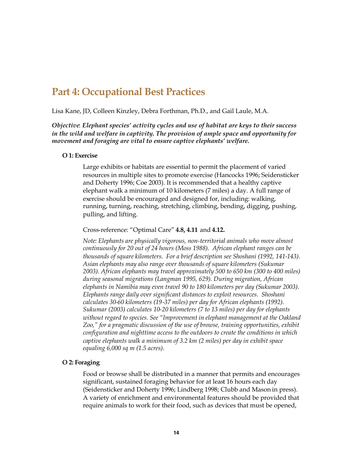# **Part 4: Occupational Best Practices**

Lisa Kane, JD, Colleen Kinzley, Debra Forthman, Ph.D., and Gail Laule, M.A.

*Objective*: *Elephant species' activity cycles and use of habitat are keys to their success in the wild and welfare in captivity. The provision of ample space and opportunity for movement and foraging are vital to ensure captive elephants' welfare.*

### **O 1: Exercise**

Large exhibits or habitats are essential to permit the placement of varied resources in multiple sites to promote exercise (Hancocks 1996; Seidensticker and Doherty 1996; Coe 2003). It is recommended that a healthy captive elephant walk a minimum of 10 kilometers (7 miles) a day. A full range of exercise should be encouraged and designed for, including: walking, running, turning, reaching, stretching, climbing, bending, digging, pushing, pulling, and lifting.

Crossreference: "Optimal Care" **4.8, 4.11** and **4.12.**

*Note: Elephants are physically vigorous, non-territorial animals who move almost continuously for 20 out of 24 hours (Moss 1988). African elephant ranges can be thousands of square kilometers. For a brief description see Shoshani (1992, 141143). Asian elephants may also range over thousands of square kilometers (Sukumar 2003). African elephants may travel approximately 500 to 650 km (300 to 400 miles) during seasonal migrations (Langman 1995, 629). During migration, African elephants in Namibia may even travel 90 to 180 kilometers per day (Sukumar 2003). Elephants range daily over significant distances to exploit resources. Shoshani calculates 3060 kilometers (1937 miles) per day for African elephants (1992). Sukumar (2003) calculates 10-20 kilometers (7 to 13 miles) per day for elephants without regard to species. See "Improvement in elephant management at the Oakland Zoo," for a pragmatic discussion of the use of browse, training opportunities, exhibit configuration and nighttime access to the outdoors to create the conditions in which captive elephants walk a minimum of 3.2 km (2 miles) per day in exhibit space equaling 6,000 sq m (1.5 acres).*

### **O 2: Foraging**

Food or browse shall be distributed in a manner that permits and encourages significant, sustained foraging behavior for at least 16 hours each day (Seidensticker and Doherty 1996; Lindberg 1998; Clubb and Mason in press). A variety of enrichment and environmental features should be provided that require animals to work for their food, such as devices that must be opened,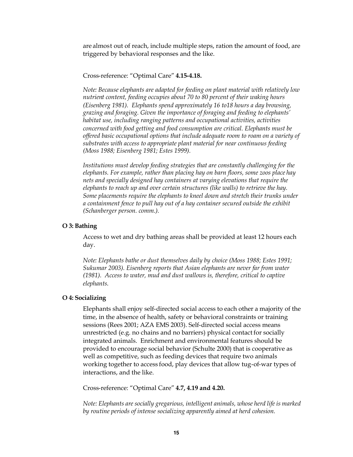are almost out of reach, include multiple steps, ration the amount of food, are triggered by behavioral responses and the like.

### Crossreference: "Optimal Care" **4.154.18.**

*Note: Because elephants are adapted for feeding on plant material with relatively low nutrient content, feeding occupies about 70 to 80 percent of their waking hours (Eisenberg 1981). Elephants spend approximately 16 to18 hours a day browsing, grazing and foraging. Given the importance of foraging and feeding to elephants' habitat use, including ranging patterns and occupational activities, activities concerned with food getting and food consumption are critical. Elephants must be offered basic occupational options that include adequate room to roam on a variety of substrates with access to appropriate plant material for near continuous feeding (Moss 1988; Eisenberg 1981; Estes 1999).*

*Institutions must develop feeding strategies that are constantly challenging for the elephants. For example, rather than placing hay on barn floors, some zoos place hay nets and specially designed hay containers at varying elevations that require the elephants to reach up and over certain structures (like walls) to retrieve the hay. Some placements require the elephants to kneel down and stretch their trunks under a containment fence to pull hay out of a hay container secured outside the exhibit (Schanberger person. comm.).*

#### **O 3: Bathing**

Access to wet and dry bathing areas shall be provided at least 12 hours each day.

*Note: Elephants bathe or dust themselves daily by choice (Moss 1988; Estes 1991; Sukumar 2003). Eisenberg reports that Asian elephants are never far from water (1981). Access to water, mud and dust wallows is, therefore, critical to captive elephants.*

#### **O 4: Socializing**

Elephants shall enjoy self-directed social access to each other a majority of the time, in the absence of health, safety or behavioral constraints or training sessions (Rees 2001; AZA EMS 2003). Self-directed social access means unrestricted (e.g. no chains and no barriers) physical contact for socially integrated animals. Enrichment and environmental features should be provided to encourage social behavior (Schulte 2000) that is cooperative as well as competitive, such as feeding devices that require two animals working together to access food, play devices that allow tug-of-war types of interactions, and the like.

Crossreference: "Optimal Care" **4.7, 4.19 and 4.20.**

*Note: Elephants are socially gregarious, intelligent animals, whose herd life is marked by routine periods of intense socializing apparently aimed at herd cohesion.*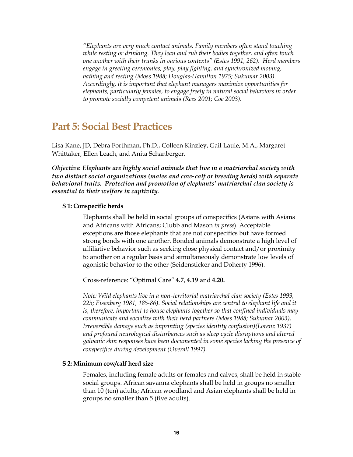*"Elephants are very much contact animals. Family members often stand touching while resting or drinking. They lean and rub their bodies together, and often touch one another with their trunks in various contexts" (Estes 1991, 262). Herd members engage in greeting ceremonies, play, play fighting, and synchronized moving,* bathing and resting (Moss 1988; Douglas-Hamilton 1975; Sukumar 2003). *Accordingly, it is important that elephant managers maximize opportunities for elephants, particularly females, to engage freely in natural social behaviors in order to promote socially competent animals (Rees 2001; Coe 2003).*

# **Part 5: Social Best Practices**

Lisa Kane, JD, Debra Forthman, Ph.D., Colleen Kinzley, Gail Laule, M.A., Margaret Whittaker, Ellen Leach, and Anita Schanberger.

*Objective*: *Elephants are highly social animals that live in a matriarchal society with two distinct social organizations (males and cowcalf or breeding herds) with separate behavioral traits. Protection and promotion of elephants' matriarchal clan society is essential to their welfare in captivity.*

### **S 1: Conspecific herds**

Elephants shall be held in social groups of conspecifics (Asians with Asians and Africans with Africans; Clubb and Mason *in press*). Acceptable exceptions are those elephants that are not conspecifics but have formed strong bonds with one another. Bonded animals demonstrate a high level of affiliative behavior such as seeking close physical contact and/or proximity to another on a regular basis and simultaneously demonstrate low levels of agonistic behavior to the other (Seidensticker and Doherty 1996).

Crossreference: "Optimal Care" **4.7, 4.19** and **4.20.**

*Note: Wild elephants live in a non-territorial matriarchal clan society (Estes 1999,* 225; Eisenberg 1981, 185-86). Social relationships are central to elephant life and it *is, therefore, important to house elephants together so that confined individuals may communicate and socialize with their herd partners (Moss 1988; Sukumar 2003). Irreversible damage such as imprinting (species identity confusion)(Lorenz 1937) and profound neurological disturbances such as sleep cycle disruptions and altered galvanic skin responses have been documented in some species lacking the presence of conspecifics during development (Overall 1997).*

### **S 2: Minimum cow/calf herd size**

Females, including female adults or females and calves, shall be held in stable social groups. African savanna elephants shall be held in groups no smaller than 10 (ten) adults; African woodland and Asian elephants shall be held in groups no smaller than 5 (five adults).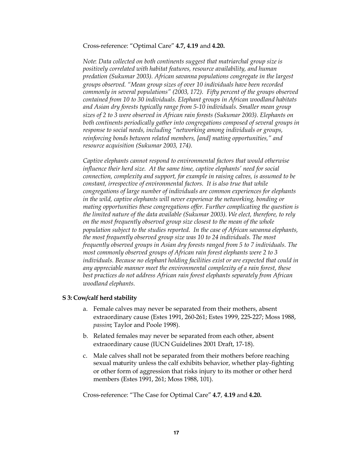Crossreference: "Optimal Care" **4.7, 4.19** and **4.20.**

*Note*: *Data collected on both continents suggest that matriarchal group size is positively correlated with habitat features, resource availability, and human predation (Sukumar 2003). African savanna populations congregate in the largest groups observed. "Mean group sizes of over 10 individuals have been recorded commonly in several populations" (2003, 172). Fifty percent of the groups observed contained from 10 to 30 individuals. Elephant groups in African woodland habitats and Asian dry forests typically range from 510 individuals. Smaller mean group sizes of 2 to 3 were observed in African rain forests (Sukumar 2003). Elephants on both continents periodically gather into congregations composed of several groups in response to social needs, including "networking among individuals or groups, reinforcing bonds between related members, [and] mating opportunities," and resource acquisition (Sukumar 2003, 174).*

*Captive elephants cannot respond to environmental factors that would otherwise influence their herd size. At the same time, captive elephants' need for social connection, complexity and support, for example in raising calves, is assumed to be constant, irrespective of environmental factors. It is also true that while congregations of large number of individuals are common experiences for elephants in the wild, captive elephants will never experience the networking, bonding or mating opportunities these congregations offer. Further complicating the question is the limited nature of the data available (Sukumar 2003). We elect, therefore, to rely on the most frequently observed group size closest to the mean of the whole population subject to the studies reported. In the case of African savanna elephants, the most frequently observed group size was 10 to 24 individuals. The most frequently observed groups in Asian dry forests ranged from 5 to 7 individuals. The most commonly observed groups of African rain forest elephants were 2 to 3 individuals. Because no elephant holding facilities exist or are expected that could in any appreciable manner meet the environmental complexity of a rain forest, these best practices do not address African rain forest elephants separately from African woodland elephants.*

### **S 3: Cow/calf herd stability**

- a. Female calves may never be separated from their mothers, absent extraordinary cause (Estes 1991, 260-261; Estes 1999, 225-227; Moss 1988, *passim*; Taylor and Poole 1998).
- b. Related females may never be separated from each other, absent extraordinary cause (IUCN Guidelines 2001 Draft, 17-18).
- c. Male calves shall not be separated from their mothers before reaching sexual maturity unless the calf exhibits behavior, whether play-fighting or other form of aggression that risks injury to its mother or other herd members (Estes 1991, 261; Moss 1988, 101).

Crossreference: "The Case for Optimal Care" **4.7**, **4.19** and **4.20.**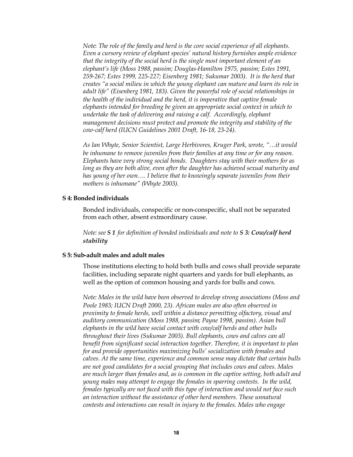*Note*: *The role of the family and herd is the core social experience of all elephants. Even a cursory review of elephant species' natural history furnishes ample evidence that the integrity of the social herd is the single most important element of an elephant's life (Moss 1988, passim; DouglasHamilton 1975, passim; Estes 1991, 259267; Estes 1999, 225227; Eisenberg 1981; Sukumar 2003). It is the herd that creates "a social milieu in which the young elephant can mature and learn its role in adult life" (Eisenberg 1981, 183). Given the powerful role of social relationships in the health of the individual and the herd, it is imperative that captive female elephants intended for breeding be given an appropriate social context in which to undertake the task of delivering and raising a calf. Accordingly, elephant management decisions must protect and promote the integrity and stability of the* cow-calf herd (IUCN Guidelines 2001 Draft, 16-18, 23-24).

*As Ian Whyte, Senior Scientist, Large Herbivores, Kruger Park, wrote, "…it would be inhumane to remove juveniles from their families at any time or for any reason. Elephants have very strong social bonds. Daughters stay with their mothers for as long as they are both alive, even after the daughter has achieved sexual maturity and has young of her own…. I believe that to knowingly separate juveniles from their mothers is inhumane" (Whyte 2003).*

### **S 4: Bonded individuals**

Bonded individuals, conspecific or nonconspecific, shall not be separated from each other, absent extraordinary cause.

*Note: see S 1 for definition of bonded individuals and note to S 3: Cow/calf herd stability*

#### **S** 5: Sub-adult males and adult males

Those institutions electing to hold both bulls and cows shall provide separate facilities, including separate night quarters and yards for bull elephants, as well as the option of common housing and yards for bulls and cows.

*Note: Males in the wild have been observed to develop strong associations (Moss and Poole 1983; IUCN Draft 2000, 23). African males are also often observed in proximity to female herds, well within a distance permitting olfactory, visual and auditory communication (Moss 1988, passim; Payne 1998, passim). Asian bull elephants in the wild have social contact with cow/calf herds and other bulls throughout their lives (Sukumar 2003). Bull elephants, cows and calves can all benefit from significant social interaction together. Therefore, it is important to plan for and provide opportunities maximizing bulls' socialization with females and calves. At the same time, experience and common sense may dictate that certain bulls are not good candidates for a social grouping that includes cows and calves. Males are much larger than females and, as is common in the captive setting, both adult and young males may attempt to engage the females in sparring contests. In the wild, females typically are not faced with this type of interaction and would not face such an interaction without the assistance of other herd members. These unnatural contests and interactions can result in injury to the females. Males who engage*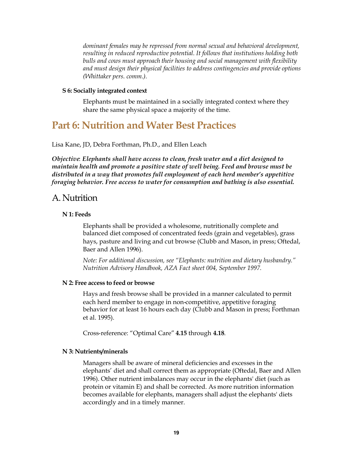*dominant females may be repressed from normal sexual and behavioral development, resulting in reduced reproductive potential. It follows that institutions holding both bulls and cows must approach their housing and social management with flexibility and must design their physical facilities to address contingencies and provide options (Whittaker pers. comm.).*

### **S 6: Socially integrated context**

Elephants must be maintained in a socially integrated context where they share the same physical space a majority of the time.

# **Part 6: Nutrition and Water Best Practices**

Lisa Kane, JD, Debra Forthman, Ph.D., and Ellen Leach

*Objective*: *Elephants shall have access to clean, fresh water and a diet designed to maintain health and promote a positive state of well being. Feed and browse must be distributed in a way that promotes full employment of each herd member's appetitive foraging behavior. Free access to water for consumption and bathing is also essential.*

# A. Nutrition

# **N 1: Feeds**

Elephants shall be provided a wholesome, nutritionally complete and balanced diet composed of concentrated feeds (grain and vegetables), grass hays, pasture and living and cut browse (Clubb and Mason, in press; Oftedal, Baer and Allen 1996).

*Note: For additional discussion, see "Elephants: nutrition and dietary husbandry." Nutrition Advisory Handbook, AZA Fact sheet 004, September 1997.*

### **N 2: Free access to feed or browse**

Hays and fresh browse shall be provided in a manner calculated to permit each herd member to engage in non-competitive, appetitive foraging behavior for at least 16 hours each day (Clubb and Mason in press; Forthman et al. 1995).

Crossreference: "Optimal Care" **4.15** through **4.18**.

### **N 3: Nutrients/minerals**

Managers shall be aware of mineral deficiencies and excesses in the elephants' diet and shall correct them as appropriate (Oftedal, Baer and Allen 1996). Other nutrient imbalances may occur in the elephants' diet (such as protein or vitamin E) and shall be corrected. As more nutrition information becomes available for elephants, managers shall adjust the elephants' diets accordingly and in a timely manner.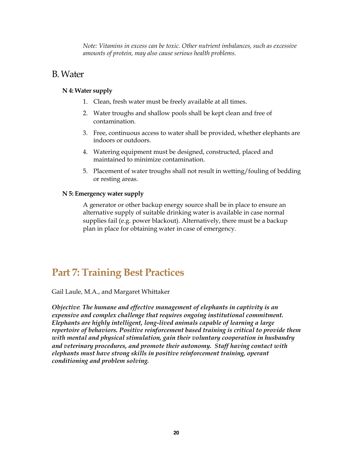*Note: Vitamins in excess can be toxic. Other nutrient imbalances, such as excessive amounts of protein, may also cause serious health problems.*

# B.Water

# **N 4: Water supply**

- 1. Clean, fresh water must be freely available at all times.
- 2. Water troughs and shallow pools shall be kept clean and free of contamination.
- 3. Free, continuous access to water shall be provided, whether elephants are indoors or outdoors.
- 4. Watering equipment must be designed, constructed, placed and maintained to minimize contamination.
- 5. Placement of water troughs shall not result in wetting/fouling of bedding or resting areas.

# **N 5: Emergency water supply**

A generator or other backup energy source shall be in place to ensure an alternative supply of suitable drinking water is available in case normal supplies fail (e.g. power blackout). Alternatively, there must be a backup plan in place for obtaining water in case of emergency.

# **Part 7: Training Best Practices**

Gail Laule, M.A., and Margaret Whittaker

*Objective*: *The humane and effective management of elephants in captivity is an expensive and complex challenge that requires ongoing institutional commitment. Elephants are highly intelligent, long-lived animals capable of learning a large repertoire of behaviors. Positive reinforcement based training is critical to provide them with mental and physical stimulation, gain their voluntary cooperation in husbandry and veterinary procedures, and promote their autonomy. Staff having contact with elephants must have strong skills in positive reinforcement training, operant conditioning and problem solving.*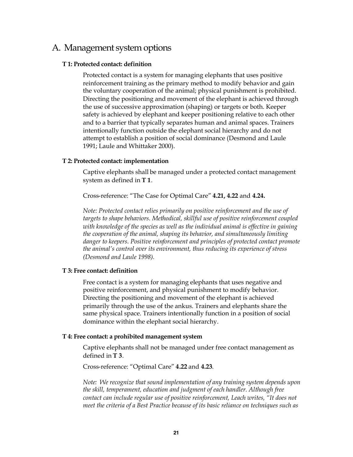# A. Management system options

### **T 1: Protected contact: definition**

Protected contact is a system for managing elephants that uses positive reinforcement training as the primary method to modify behavior and gain the voluntary cooperation of the animal; physical punishment is prohibited. Directing the positioning and movement of the elephant is achieved through the use of successive approximation (shaping) or targets or both. Keeper safety is achieved by elephant and keeper positioning relative to each other and to a barrier that typically separates human and animal spaces. Trainers intentionally function outside the elephant social hierarchy and do not attempt to establish a position of social dominance (Desmond and Laule 1991; Laule and Whittaker 2000).

### **T 2: Protected contact: implementation**

Captive elephants shall be managed under a protected contact management system as defined in **T 1**.

Crossreference: "The Case for Optimal Care" **4.21, 4.22** and **4.24.**

*Note: Protected contact relies primarily on positive reinforcement and the use of targets to shape behaviors. Methodical, skillful use of positive reinforcement coupled with knowledge of the species as well as the individual animal is effective in gaining the cooperation of the animal, shaping its behavior, and simultaneously limiting danger to keepers. Positive reinforcement and principles of protected contact promote the animal's control over its environment, thus reducing its experience of stress (Desmond and Laule 1998).*

### **T 3: Free contact: definition**

Free contact is a system for managing elephants that uses negative and positive reinforcement, and physical punishment to modify behavior. Directing the positioning and movement of the elephant is achieved primarily through the use of the ankus. Trainers and elephants share the same physical space. Trainers intentionally function in a position of social dominance within the elephant social hierarchy.

### **T 4: Free contact: a prohibited management system**

Captive elephants shall not be managed under free contact management as defined in **T 3**.

Crossreference: "Optimal Care" **4.22** and **4.23**.

*Note: We recognize that sound implementation of any training system depends upon the skill, temperament, education and judgment of each handler. Although free contact can include regular use of positive reinforcement, Leach writes, "It does not meet the criteria of a Best Practice because of its basic reliance on techniques such as*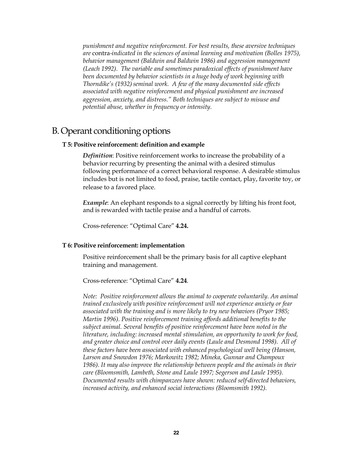*punishment and negative reinforcement. For best results, these aversive techniques are* contra*indicated in the sciences of animal learning and motivation (Bolles 1975), behavior management (Baldwin and Baldwin 1986) and aggression management (Leach 1992). The variable and sometimes paradoxical effects of punishment have been documented by behavior scientists in a huge body of work beginning with Thorndike's (1932) seminal work. A few of the many documented side effects associated with negative reinforcement and physical punishment are increased aggression, anxiety, and distress." Both techniques are subject to misuse and potential abuse, whether in frequency or intensity.*

# B. Operant conditioning options

### **T 5: Positive reinforcement: definition and example**

*Definition*: Positive reinforcement works to increase the probability of a behavior recurring by presenting the animal with a desired stimulus following performance of a correct behavioral response. A desirable stimulus includes but is not limited to food, praise, tactile contact, play, favorite toy, or release to a favored place.

*Example*: An elephant responds to a signal correctly by lifting his front foot, and is rewarded with tactile praise and a handful of carrots.

Crossreference: "Optimal Care" **4.24.**

#### **T 6: Positive reinforcement: implementation**

Positive reinforcement shall be the primary basis for all captive elephant training and management.

Crossreference: "Optimal Care" **4.24**.

*Note: Positive reinforcement allows the animal to cooperate voluntarily. An animal trained exclusively with positive reinforcement will not experience anxiety or fear associated with the training and is more likely to try new behaviors (Pryor 1985; Martin 1996). Positive reinforcement training affords additional benefits to the subject animal. Several benefits of positive reinforcement have been noted in the literature, including: increased mental stimulation, an opportunity to work for food, and greater choice and control over daily events (Laule and Desmond 1998). All of these factors have been associated with enhanced psychological well being (Hanson, Larson and Snowdon 1976; Markowitz 1982; Mineka, Gunnar and Champoux 1986). It may also improve the relationship between people and the animals in their care (Bloomsmith, Lambeth, Stone and Laule 1997; Segerson and Laule 1995).* Documented results with chimpanzees have shown: reduced self-directed behaviors, *increased activity, and enhanced social interactions (Bloomsmith 1992).*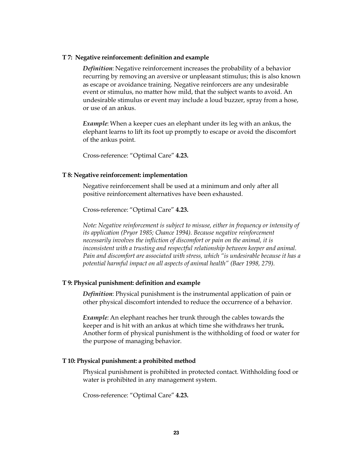### **T 7: Negative reinforcement: definition and example**

*Definition*: Negative reinforcement increases the probability of a behavior recurring by removing an aversive or unpleasant stimulus; this is also known as escape or avoidance training. Negative reinforcers are any undesirable event or stimulus, no matter how mild, that the subject wants to avoid. An undesirable stimulus or event may include a loud buzzer, spray from a hose, or use of an ankus.

*Example*: When a keeper cues an elephant under its leg with an ankus, the elephant learns to lift its foot up promptly to escape or avoid the discomfort of the ankus point.

Crossreference: "Optimal Care" **4.23.**

### **T 8: Negative reinforcement: implementation**

Negative reinforcement shall be used at a minimum and only after all positive reinforcement alternatives have been exhausted.

Crossreference: "Optimal Care" **4.23.**

*Note: Negative reinforcement is subject to misuse, either in frequency or intensity of its application (Pryor 1985; Chance 1994). Because negative reinforcement necessarily involves the infliction of discomfort or pain on the animal, it is inconsistent with a trusting and respectful relationship between keeper and animal. Pain and discomfort are associated with stress, which "is undesirable because it has a potential harmful impact on all aspects of animal health" (Baer 1998, 279).*

### **T 9: Physical punishment: definition and example**

*Definition*: Physical punishment is the instrumental application of pain or other physical discomfort intended to reduce the occurrence of a behavior.

*Example:* An elephant reaches her trunk through the cables towards the keeper and is hit with an ankus at which time she withdraws her trunk**.** Another form of physical punishment is the withholding of food or water for the purpose of managing behavior.

### **T 10: Physical punishment: a prohibited method**

Physical punishment is prohibited in protected contact. Withholding food or water is prohibited in any management system.

Crossreference: "Optimal Care" **4.23.**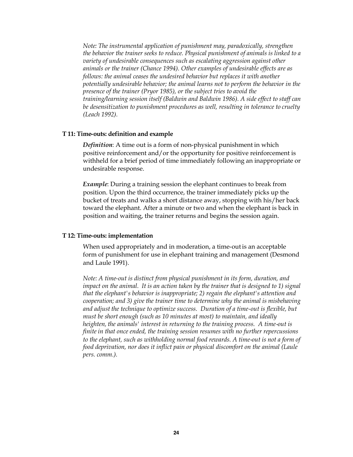*Note: The instrumental application of punishment may, paradoxically, strengthen the behavior the trainer seeks to reduce. Physical punishment of animals is linked to a variety of undesirable consequences such as escalating aggression against other animals or the trainer (Chance 1994). Other examples of undesirable effects are as follows: the animal ceases the undesired behavior but replaces it with another potentially undesirable behavior; the animal learns not to perform the behavior in the presence of the trainer (Pryor 1985), or the subject tries to avoid the training/learning session itself (Baldwin and Baldwin 1986). A side effect to staff can be desensitization to punishment procedures as well, resulting in tolerance to cruelty (Leach 1992).*

### **T11: Time-outs: definition and example**

*Definition*: A time out is a form of non-physical punishment in which positive reinforcement and/or the opportunity for positive reinforcement is withheld for a brief period of time immediately following an inappropriate or undesirable response.

*Example*: During a training session the elephant continues to break from position. Upon the third occurrence, the trainer immediately picks up the bucket of treats and walks a short distance away, stopping with his/her back toward the elephant. After a minute or two and when the elephant is back in position and waiting, the trainer returns and begins the session again.

### **T 12: Time-outs: implementation**

When used appropriately and in moderation, a time-out is an acceptable form of punishment for use in elephant training and management (Desmond and Laule 1991).

*Note: A time-out is distinct from physical punishment in its form, duration, and impact on the animal. It is an action taken by the trainer that is designed to 1) signal that the elephant's behavior is inappropriate; 2) regain the elephant's attention and cooperation; and 3) give the trainer time to determine why the animal is misbehaving and adjust the technique to optimize success. Duration of a time-out is flexible, but must be short enough (such as 10 minutes at most) to maintain, and ideally heighten, the animals' interest in returning to the training process. A time-out is finite in that once ended, the training session resumes with no further repercussions* to the elephant, such as withholding normal food rewards. A time-out is not a form of *food deprivation, nor does it inflict pain or physical discomfort on the animal (Laule pers. comm.).*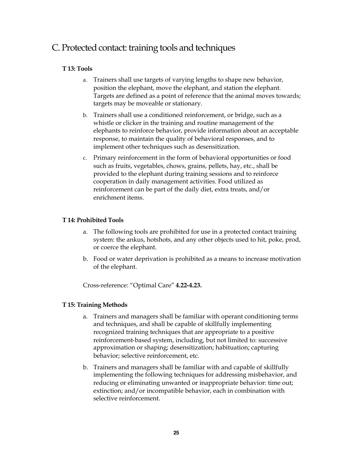# C. Protected contact: training tools and techniques

# **T 13: Tools**

- a. Trainers shall use targets of varying lengths to shape new behavior, position the elephant, move the elephant, and station the elephant. Targets are defined as a point of reference that the animal moves towards; targets may be moveable or stationary.
- b. Trainers shall use a conditioned reinforcement, or bridge, such as a whistle or clicker in the training and routine management of the elephants to reinforce behavior, provide information about an acceptable response, to maintain the quality of behavioral responses, and to implement other techniques such as desensitization.
- c. Primary reinforcement in the form of behavioral opportunities or food such as fruits, vegetables, chows, grains, pellets, hay, etc., shall be provided to the elephant during training sessions and to reinforce cooperation in daily management activities. Food utilized as reinforcement can be part of the daily diet, extra treats, and/or enrichment items.

# **T 14: Prohibited Tools**

- a. The following tools are prohibited for use in a protected contact training system: the ankus, hotshots, and any other objects used to hit, poke, prod, or coerce the elephant.
- b. Food or water deprivation is prohibited as a means to increase motivation of the elephant.

Crossreference: "Optimal Care" **4.224.23.**

# **T 15: Training Methods**

- a. Trainers and managers shall be familiar with operant conditioning terms and techniques, and shall be capable of skillfully implementing recognized training techniques that are appropriate to a positive reinforcement-based system, including, but not limited to: successive approximation or shaping; desensitization; habituation; capturing behavior; selective reinforcement, etc.
- b. Trainers and managers shall be familiar with and capable of skillfully implementing the following techniques for addressing misbehavior, and reducing or eliminating unwanted or inappropriate behavior: time out; extinction; and/or incompatible behavior, each in combination with selective reinforcement.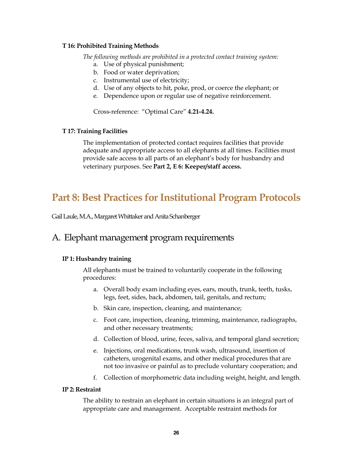## **T 16: Prohibited Training Methods**

*The following methods are prohibited in a protected contact training system:*

- a. Use of physical punishment;
- b. Food or water deprivation;
- c. Instrumental use of electricity;
- d. Use of any objects to hit, poke, prod, or coerce the elephant; or
- e. Dependence upon or regular use of negative reinforcement.

Cross-reference: "Optimal Care" 4.21-4.24.

# **T 17: Training Facilities**

The implementation of protected contact requires facilities that provide adequate and appropriate access to all elephants at all times. Facilities must provide safe access to all parts of an elephant's body for husbandry and veterinary purposes. See **Part 2, E 6: Keeper/staff access.**

# **Part 8: Best Practices for Institutional Program Protocols**

Gail Laule, M.A., Margaret Whittaker and Anita Schanberger

# A. Elephant management program requirements

# **IP 1: Husbandry training**

All elephants must be trained to voluntarily cooperate in the following procedures:

- a. Overall body exam including eyes, ears, mouth, trunk, teeth, tusks, legs, feet, sides, back, abdomen, tail, genitals, and rectum;
- b. Skin care, inspection, cleaning, and maintenance;
- c. Foot care, inspection, cleaning, trimming, maintenance, radiographs, and other necessary treatments;
- d. Collection of blood, urine, feces, saliva, and temporal gland secretion;
- e. Injections, oral medications, trunk wash, ultrasound, insertion of catheters, urogenital exams, and other medical procedures that are not too invasive or painful as to preclude voluntary cooperation; and
- f. Collection of morphometric data including weight, height, and length.

# **IP 2: Restraint**

The ability to restrain an elephant in certain situations is an integral part of appropriate care and management. Acceptable restraint methods for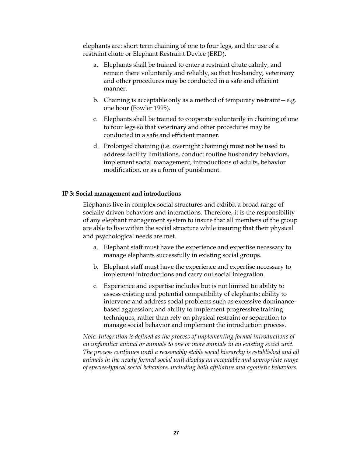elephants are: short term chaining of one to four legs, and the use of a restraint chute or Elephant Restraint Device (ERD).

- a. Elephants shall be trained to enter a restraint chute calmly, and remain there voluntarily and reliably, so that husbandry, veterinary and other procedures may be conducted in a safe and efficient manner.
- b. Chaining is acceptable only as a method of temporary restraint—e.g. one hour (Fowler 1995).
- c. Elephants shall be trained to cooperate voluntarily in chaining of one to four legs so that veterinary and other procedures may be conducted in a safe and efficient manner.
- d. Prolonged chaining (i.e. overnight chaining) must not be used to address facility limitations, conduct routine husbandry behaviors, implement social management, introductions of adults, behavior modification, or as a form of punishment.

### **IP 3: Social management and introductions**

Elephants live in complex social structures and exhibit a broad range of socially driven behaviors and interactions. Therefore, it is the responsibility of any elephant management system to insure that all members of the group are able to live within the social structure while insuring that their physical and psychological needs are met.

- a. Elephant staff must have the experience and expertise necessary to manage elephants successfully in existing social groups.
- b. Elephant staff must have the experience and expertise necessary to implement introductions and carry out social integration.
- c. Experience and expertise includes but is not limited to: ability to assess existing and potential compatibility of elephants; ability to intervene and address social problems such as excessive dominancebased aggression; and ability to implement progressive training techniques, rather than rely on physical restraint or separation to manage social behavior and implement the introduction process.

*Note*: *Integration is defined as the process of implementing formal introductions of an unfamiliar animal or animals to one or more animals in an existing social unit. The process continues until a reasonably stable social hierarchy is established and all animals in the newly formed social unit display an acceptable and appropriate range of speciestypical social behaviors, including both affiliative and agonistic behaviors.*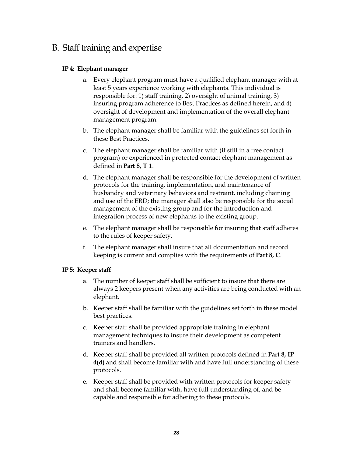# B. Staff training and expertise

# **IP 4: Elephant manager**

- a. Every elephant program must have a qualified elephant manager with at least 5 years experience working with elephants. This individual is responsible for: 1) staff training, 2) oversight of animal training, 3) insuring program adherence to Best Practices as defined herein, and 4) oversight of development and implementation of the overall elephant management program.
- b. The elephant manager shall be familiar with the guidelines set forth in these Best Practices.
- c. The elephant manager shall be familiar with (if still in a free contact program) or experienced in protected contact elephant management as defined in **Part 8, T 1**.
- d. The elephant manager shall be responsible for the development of written protocols for the training, implementation, and maintenance of husbandry and veterinary behaviors and restraint, including chaining and use of the ERD; the manager shall also be responsible for the social management of the existing group and for the introduction and integration process of new elephants to the existing group.
- e. The elephant manager shall be responsible for insuring that staff adheres to the rules of keeper safety.
- f. The elephant manager shall insure that all documentation and record keeping is current and complies with the requirements of **Part 8, C**.

# **IP 5: Keeper staff**

- a. The number of keeper staff shall be sufficient to insure that there are always 2 keepers present when any activities are being conducted with an elephant.
- b. Keeper staff shall be familiar with the guidelines set forth in these model best practices.
- c. Keeper staff shall be provided appropriate training in elephant management techniques to insure their development as competent trainers and handlers.
- d. Keeper staff shall be provided all written protocols defined in **Part 8, IP 4(d)** and shall become familiar with and have full understanding of these protocols.
- e. Keeper staff shall be provided with written protocols for keeper safety and shall become familiar with, have full understanding of, and be capable and responsible for adhering to these protocols.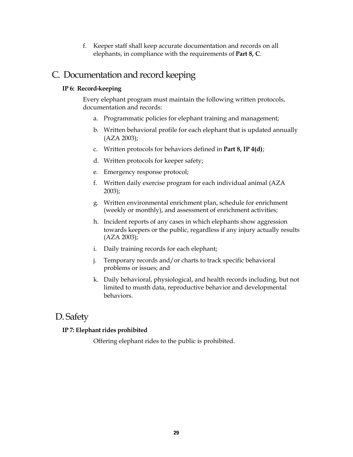f. Keeper staff shall keep accurate documentation and records on all elephants, in compliance with the requirements of **Part 8, C**.

# C. Documentation and record keeping

# **IP 6: Record-keeping**

Every elephant program must maintain the following written protocols, documentation and records:

- a. Programmatic policies for elephant training and management;
- b. Written behavioral profile for each elephant that is updated annually (AZA 2003);
- c. Written protocols for behaviors defined in **Part 8, IP 4(d)**;
- d. Written protocols for keeper safety;
- e. Emergency response protocol;
- f. Written daily exercise program for each individual animal (AZA 2003);
- g. Written environmental enrichment plan, schedule for enrichment (weekly or monthly), and assessment of enrichment activities;
- h. Incident reports of any cases in which elephants show aggression towards keepers or the public, regardless if any injury actually results (AZA 2003);
- i. Daily training records for each elephant;
- j. Temporary records and/or charts to track specific behavioral problems or issues; and
- k. Daily behavioral, physiological, and health records including, but not limited to musth data, reproductive behavior and developmental behaviors.

# D. Safety

# **IP 7: Elephant rides prohibited**

Offering elephant rides to the public is prohibited.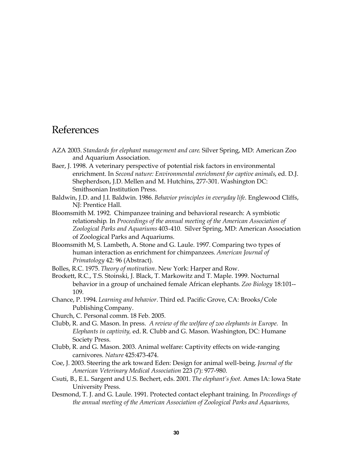# References

- AZA 2003. *Standards for elephant management and care*. Silver Spring, MD: American Zoo and Aquarium Association.
- Baer, J. 1998. A veterinary perspective of potential risk factors in environmental enrichment. In *Second nature: Environmental enrichment for captive animals*, ed. D.J. Shepherdson, J.D. Mellen and M. Hutchins, 277-301. Washington DC: Smithsonian Institution Press.
- Baldwin, J.D. and J.I. Baldwin. 1986. *Behavior principles in everyday life*. Englewood Cliffs, NJ: Prentice Hall.
- Bloomsmith M. 1992. Chimpanzee training and behavioral research: A symbiotic relationship*.* In *Proceedings of the annual meeting of the American Association of Zoological Parks and Aquariums* 403410. Silver Spring, MD: American Association of Zoological Parks and Aquariums.
- Bloomsmith M, S. Lambeth, A. Stone and G. Laule. 1997. Comparing two types of human interaction as enrichment for chimpanzees*. American Journal of Primatology* 42: 96 (Abstract).
- Bolles, R.C. 1975. *Theory of motivation*. New York: Harper and Row.
- Brockett, R.C., T.S. Stoinski, J. Black, T. Markowitz and T. Maple. 1999. Nocturnal behavior in a group of unchained female African elephants*. Zoo Biology* 18:101 109.
- Chance, P. 1994. *Learning and behavior.* Third ed. Pacific Grove, CA: Brooks/Cole Publishing Company.
- Church, C. Personal comm. 18 Feb. 2005*.*
- Clubb, R. and G. Mason. In press. *A review of the welfare of zoo elephants in Europe.* In *Elephants in captivity,* ed. R. Clubb and G. Mason. Washington, DC: Humane Society Press.
- Clubb, R. and G. Mason. 2003. Animal welfare: Captivity effects on wide-ranging carnivores*. Nature* 425:473474.
- Coe, J. 2003. Steering the ark toward Eden: Design for animal well-being. *Journal of the* American Veterinary Medical Association 223 (7): 977-980.
- Csuti, B., E.L. Sargent and U.S. Bechert, eds. 2001. *The elephant's foot.* Ames IA: Iowa State University Press.
- Desmond, T. J. and G. Laule. 1991. Protected contact elephant training. In *Proceedings of the annual meeting of the American Association of Zoological Parks and Aquariums,*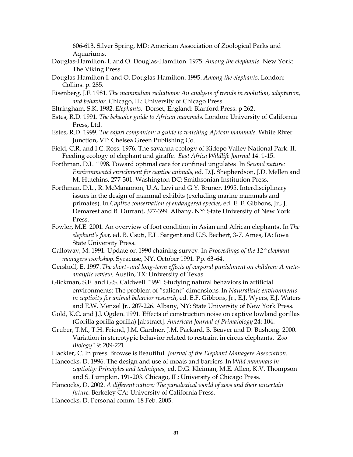606613. Silver Spring, MD: American Association of Zoological Parks and Aquariums.

- Douglas-Hamilton, I. and O. Douglas-Hamilton. 1975. Among the elephants. New York: The Viking Press.
- DouglasHamilton I. and O. DouglasHamilton. 1995. *Among the elephants*. London: Collins. p. 285.
- Eisenberg, J.F. 1981. *The mammalian radiations: An analysis of trends in evolution, adaptation, and behavior*. Chicago, IL: University of Chicago Press.
- Eltringham, S.K. 1982. *Elephants*. Dorset, England: Blanford Press. p 262.
- Estes, R.D. 1991. *The behavior guide to African mammals*. London: University of California Press, Ltd.
- Estes, R.D. 1999. *The safari companion: a guide to watching African mammals*. White River Junction, VT: Chelsea Green Publishing Co.
- Field, C.R. and I.C. Ross. 1976. The savanna ecology of Kidepo Valley National Park. II. Feeding ecology of elephant and giraffe. *East Africa Wildlife Journal* 14: 1-15.
- Forthman, D.L. 1998*.* Toward optimal care for confined ungulates*.* In *Second nature: Environmental enrichment for captive animals*, ed. D.J. Shepherdson, J.D. Mellen and M. Hutchins, 277-301. Washington DC: Smithsonian Institution Press.
- Forthman, D.L., R. McManamon, U.A. Levi and G.Y. Bruner. 1995. Interdisciplinary issues in the design of mammal exhibits (excluding marine mammals and primates). In *Captive conservation of endangered species*, ed. E. F. Gibbons, Jr., J. Demarest and B. Durrant, 377-399. Albany, NY: State University of New York Press.
- Fowler, M.E. 2001. An overview of foot condition in Asian and African elephants. In *The elephant's foot*, ed. B. Csuti, E.L. Sargent and U.S. Bechert, 37. Ames, IA: Iowa State University Press.
- Galloway, M. 1991. Update on 1990 chaining survey*.* In *Proceedings of the 12th elephant* managers workshop. Syracuse, NY, October 1991. Pp. 63-64.
- Gershoff, E. 1997. The short- and long-term effects of corporal punishment on children: A meta*analytic review*. Austin, TX: University of Texas.
- Glickman, S.E. and G.S. Caldwell. 1994. Studying natural behaviors in artificial environments: The problem of "salient" dimensions*.* In *Naturalistic environments in captivity for animal behavior research*, ed. E.F. Gibbons, Jr., E.J. Wyers, E.J. Waters and E.W. Menzel Jr., 207-226. Albany, NY: State University of New York Press.
- Gold, K.C. and J.J. Ogden. 1991. Effects of construction noise on captive lowland gorillas (Gorilla gorilla gorilla) [abstract]. *American Journal of Primatology* 24: 104.
- Gruber, T.M., T.H. Friend, J.M. Gardner, J.M. Packard, B. Beaver and D. Bushong. 2000. Variation in stereotypic behavior related to restraint in circus elephants*. Zoo Biology* 19: 209-221.
- Hackler, C. In press. Browse is Beautiful. *Journal of the Elephant Managers Association*.
- Hancocks, D. 1996. The design and use of moats and barriers*.* In *Wild mammals in captivity: Principles and techniques,* ed. D.G. Kleiman, M.E. Allen, K.V. Thompson and S. Lumpkin, 191-203. Chicago, IL: University of Chicago Press.
- Hancocks, D. 2002. *A different nature: The paradoxical world of zoos and their uncertain future*. Berkeley CA: University of California Press.
- Hancocks, D. Personal comm. 18 Feb. 2005.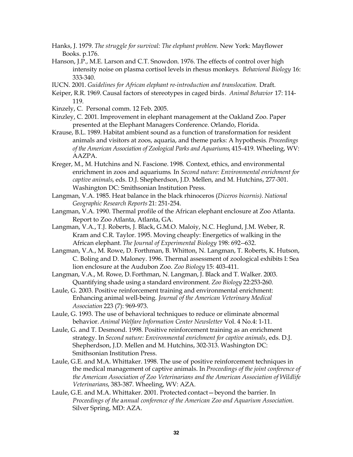- Hanks, J. 1979. *The struggle for survival: The elephant problem*. New York: Mayflower Books. p.176.
- Hanson, J.P., M.E. Larson and C.T. Snowdon. 1976. The effects of control over high intensity noise on plasma cortisol levels in rhesus monkeys*. Behavioral Biology* 16: 333-340.
- IUCN. 2001. *Guidelines for African elephant reintroduction and translocation.* Draft.
- Keiper, R.R. 1969. Causal factors of stereotypes in caged birds*. Animal Behavior* 17: 114 119.
- Kinzely, C. Personal comm. 12 Feb. 2005.
- Kinzley, C. 2001. Improvement in elephant management at the Oakland Zoo. Paper presented at the Elephant Managers Conference. Orlando, Florida.
- Krause, B.L. 1989. Habitat ambient sound as a function of transformation for resident animals and visitors at zoos, aquaria, and theme parks: A hypothesis*. Proceedings* of the American Association of Zoological Parks and Aquariums, 415-419. Wheeling, WV: AAZPA.
- Kreger, M., M. Hutchins and N. Fascione. 1998*.* Context, ethics, and environmental enrichment in zoos and aquariums*.* In *Second nature: Environmental enrichment for* captive animals, eds. D.J. Shepherdson, J.D. Mellen, and M. Hutchins, 277-301. Washington DC: Smithsonian Institution Press.
- Langman, V.A. 1985. Heat balance in the black rhinoceros (*Diceros bicornis). National Geographic Research Reports* 21: 251-254.
- Langman, V.A. 1990. Thermal profile of the African elephant enclosure at Zoo Atlanta. Report to Zoo Atlanta, Atlanta, GA.
- Langman, V.A., T.J. Roberts, J. Black, G.M.O. Maloiy, N.C. Heglund, J.M. Weber, R. Kram and C.R. Taylor. 1995. Moving cheaply: Energetics of walking in the African elephant. *The Journal of Experimental Biology* 198: 692--632.
- Langman, V.A., M. Rowe, D. Forthman, B. Whitton, N. Langman, T. Roberts, K. Hutson, C. Boling and D. Maloney. 1996. Thermal assessment of zoological exhibits I: Sea lion enclosure at the Audubon Zoo. *Zoo Biology* 15: 403-411.
- Langman, V.A., M. Rowe, D. Forthman, N. Langman, J. Black and T. Walker. 2003. Quantifying shade using a standard environment. *Zoo Biology* 22:253-260.
- Laule, G. 2003. Positive reinforcement training and environmental enrichment: Enhancing animal well-being. *Journal of the American Veterinary Medical Association* 223 (7): 969-973.
- Laule, G. 1993. The use of behavioral techniques to reduce or eliminate abnormal behavior. *Animal Welfare Information Center Newsletter* Vol. 4 No.4: 1-11.
- Laule, G. and T. Desmond. 1998. Positive reinforcement training as an enrichment strategy. In *Second nature: Environmental enrichment for captive animals*, eds. D.J. Shepherdson, J.D. Mellen and M. Hutchins, 302-313. Washington DC: Smithsonian Institution Press.
- Laule, G.E. and M.A. Whittaker. 1998. The use of positive reinforcement techniques in the medical management of captive animals. In *Proceedings of the joint conference of the American Association of Zoo Veterinarians and the American Association of Wildlife Veterinarians, 383-387. Wheeling, WV: AZA.*
- Laule, G.E. and M.A. Whittaker. 2001. Protected contact—beyond the barrier. In *Proceedings of the* a*nnual conference of the American Zoo and Aquarium Association*. Silver Spring, MD: AZA.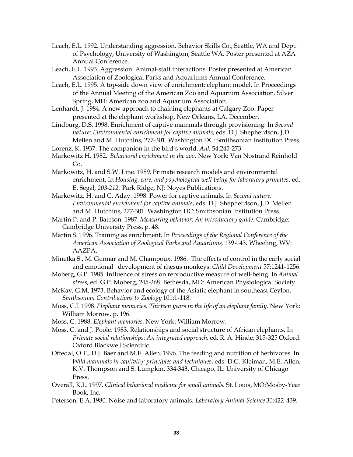- Leach, E.L. 1992. Understanding aggression. Behavior Skills Co., Seattle, WA and Dept. of Psychology, University of Washington, Seattle WA. Poster presented at AZA Annual Conference.
- Leach, E.L. 1993. Aggression: Animal-staff interactions. Poster presented at American Association of Zoological Parks and Aquariums Annual Conference.
- Leach, E.L. 1995. A top-side down view of enrichment: elephant model. In Proceedings of the Annual Meeting of the American Zoo and Aquarium Association. Silver Spring, MD: American zoo and Aquarium Association.
- Lenhardt, J. 1984. A new approach to chaining elephants at Calgary Zoo. Paper presented at the elephant workshop, New Orleans, LA. December.
- Lindburg, D.S. 1998. Enrichment of captive mammals through provisioning. In *Second nature: Environmental enrichment for captive animals*, eds. D.J. Shepherdson, J.D. Mellen and M. Hutchins, 277-301. Washington DC: Smithsonian Institution Press.
- Lorenz, K. 1937. The companion in the bird's world. Auk 54:245-273
- Markowitz H. 1982. *Behavioral enrichment in the zoo*. New York: Van Nostrand Reinhold Co.
- Markowitz, H. and S.W. Line. 1989. Primate research models and environmental enrichment. In *Housing, care, and psychological well-being for laboratory primates, ed.* E. Segal, 203-212. Park Ridge, NJ: Noyes Publications.
- Markowitz, H. and C. Aday. 1998. Power for captive animals. In *Second nature: Environmental enrichment for captive animals*, eds. D.J. Shepherdson, J.D. Mellen and M. Hutchins, 277-301. Washington DC: Smithsonian Institution Press.
- Martin P. and P. Bateson. 1987. *Measuring behavior: An introductory guide*. Cambridge: Cambridge University Press. p. 48.
- Martin S. 1996. Training as enrichment. In *Proceedings of the Regional Conference of the American Association of Zoological Parks and Aquariums*, 139143. Wheeling, WV: AAZPA.
- Minetka S., M. Gunnar and M. Champoux. 1986. The effects of control in the early social and emotional development of rhesus monkeys. *Child Development* 57:1241-1256.
- Moberg, G.P. 1985. Influence of stress on reproductive measure of well-being. In *Animal* stress, ed. G.P. Moberg, 245-268. Bethesda, MD: American Physiological Society.
- McKay, G.M. 1973. Behavior and ecology of the Asiatic elephant in southeast Ceylon. **Smithsonian Contributions to Zoology 101:1-118.**
- Moss, C.J. 1998. *Elephant memories: Thirteen years in the life of an elephant family*. New York: William Morrow. p. 196.
- Moss, C. 1988. *Elephant memories*. New York: William Morrow.
- Moss, C. and J. Poole. 1983. Relationships and social structure of African elephants. In *Primate social relationships: An integrated approach*, ed. R. A. Hinde, 315-325 Oxford: Oxford Blackwell Scientific.
- Oftedal, O.T., D.J. Baer and M.E. Allen. 1996. The feeding and nutrition of herbivores. In *Wild mammals in captivity: principles and techniques*, eds. D.G. Kleiman, M.E. Allen, K.V. Thompson and S. Lumpkin, 334343. Chicago, IL: University of Chicago Press.
- Overall, K.L. 1997. Clinical behavioral medicine for small animals. St. Louis, MO:Mosby-Year Book, Inc.
- Peterson, E.A. 1980. Noise and laboratory animals. *Laboratory Animal Science* 30:422-439.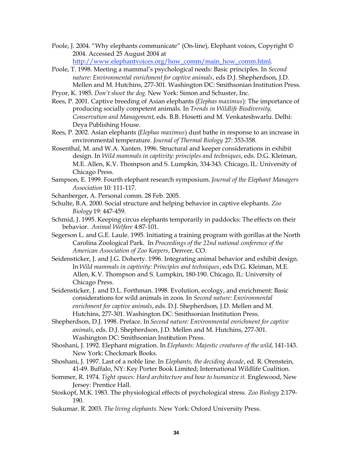Poole, J. 2004. "Why elephants communicate" (On-line), Elephant voices, Copyright © 2004. Accessed 25 August 2004 at

[http://www.elephantvoices.org/how\\_comm/main\\_how\\_comm.html.](http://www.elephantvoices.org/how_comm/main_how_comm.html)

- Poole, T. 1998. Meeting a mammal's psychological needs: Basic principles. In *Second nature: Environmental enrichment for captive animals*, eds D.J. Shepherdson, J.D. Mellen and M. Hutchins, 277-301. Washington DC: Smithsonian Institution Press.
- Pryor, K. 1985. *Don't shoot the dog*. New York: Simon and Schuster, Inc.
- Rees, P. 2001. Captive breeding of Asian elephants (*Elephas maximus*): The importance of producing socially competent animals. In *Trends in Wildlife Biodiversity, Conservation and Management*, eds. B.B. Hosetti and M. Venkateshwarlu. Delhi: Deya Publishing House.
- Rees, P. 2002. Asian elephants (*Elephas maximus*) dust bathe in response to an increase in environmental temperature. *Journal of Thermal Biology* 27: 353-358.
- Rosenthal, M. and W.A. Xanten. 1996. Structural and keeper considerations in exhibit design. In *Wild mammals in captivity: principles and techniques*, eds. D.G. Kleiman, M.E. Allen, K.V. Thompson and S. Lumpkin, 334343. Chicago, IL: University of Chicago Press.
- Sampson, E. 1999. Fourth elephant research symposium. *Journal of the Elephant Managers Association* 10: 111-117.
- Schanberger, A. Personal comm. 28 Feb. 2005.
- Schulte, B.A. 2000. Social structure and helping behavior in captive elephants. *Zoo Biology* 19: 447-459.
- Schmid, J. 1995. Keeping circus elephants temporarily in paddocks: The effects on their behavior. Animal Welfare 4:87-101.
- Segerson L. and G.E. Laule. 1995. Initiating a training program with gorillas at the North Carolina Zoological Park. In *Proceedings of the 22nd national conference of the American Association of Zoo Keepers*, Denver, CO.
- Seidensticker, J. and J.G. Doherty. 1996. Integrating animal behavior and exhibit design. In *Wild mammals in captivity: Principles and techniques*, eds D.G. Kleiman, M.E. Allen, K.V. Thompson and S. Lumpkin, 180-190. Chicago, IL: University of Chicago Press.
- Seidensticker, J. and D.L. Forthman. 1998. Evolution, ecology, and enrichment: Basic considerations for wild animals in zoos*.* In *Second nature: Environmental enrichment for captive animals*, eds. D.J. Shepherdson, J.D. Mellen and M. Hutchins, 277-301. Washington DC: Smithsonian Institution Press.
- Shepherdson, D.J. 1998. Preface. In *Second nature: Environmental enrichment for captive* animals, eds. D.J. Shepherdson, J.D. Mellen and M. Hutchins, 277-301. Washington DC: Smithsonian Institution Press.
- Shoshani, J. 1992. Elephant migration. In *Elephants: Majestic creatures of the wild*, 141-143. New York: Checkmark Books.
- Shoshani, J. 1997. Last of a noble line. In *Elephants, the deciding decade*, ed. R. Orenstein, 4149. Buffalo, NY: Key Porter Book Limited; International Wildlife Coalition.
- Sommer, R. 1974. *Tight spaces: Hard architecture and how to humanize it.* Englewood, New Jersey: Prentice Hall.
- Stoskopf, M.K. 1983. The physiological effects of psychological stress*. Zoo Biology* 2:179 190.
- Sukumar. R. 2003*. The living elephants.* New York: Oxford University Press*.*